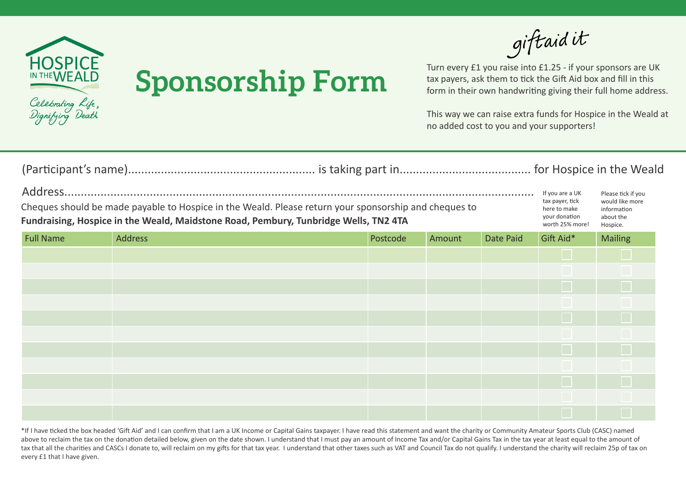

## **Sponsorship Form**

giftaidit

Turn every £1 you raise into £1.25 - if your sponsors are UK tax payers, ask them to tick the Gift Aid box and fill in this form in their own handwriting giving their full home address.

This way we can raise extra funds for Hospice in the Weald at no added cost to you and your supporters!

| Cheques should be made payable to Hospice in the Weald. Please return your sponsorship and cheques to<br>Fundraising, Hospice in the Weald, Maidstone Road, Pembury, Tunbridge Wells, TN2 4TA |                |          |        |           | If you are a UK<br>tax payer, tick<br>here to make<br>your donation<br>worth 25% more! | Please tick if you<br>would like more<br>information<br>about the<br>Hospice. |  |
|-----------------------------------------------------------------------------------------------------------------------------------------------------------------------------------------------|----------------|----------|--------|-----------|----------------------------------------------------------------------------------------|-------------------------------------------------------------------------------|--|
| <b>Full Name</b>                                                                                                                                                                              | <b>Address</b> | Postcode | Amount | Date Paid | Gift Aid*                                                                              | <b>Mailing</b>                                                                |  |
|                                                                                                                                                                                               |                |          |        |           |                                                                                        |                                                                               |  |
|                                                                                                                                                                                               |                |          |        |           |                                                                                        |                                                                               |  |
|                                                                                                                                                                                               |                |          |        |           |                                                                                        | $\Box$                                                                        |  |
|                                                                                                                                                                                               |                |          |        |           |                                                                                        |                                                                               |  |
|                                                                                                                                                                                               |                |          |        |           |                                                                                        | $\Box$                                                                        |  |
|                                                                                                                                                                                               |                |          |        |           |                                                                                        |                                                                               |  |
|                                                                                                                                                                                               |                |          |        |           |                                                                                        | $\Box$                                                                        |  |
|                                                                                                                                                                                               |                |          |        |           |                                                                                        |                                                                               |  |
|                                                                                                                                                                                               |                |          |        |           |                                                                                        | $\Box$                                                                        |  |
|                                                                                                                                                                                               |                |          |        |           |                                                                                        |                                                                               |  |
|                                                                                                                                                                                               |                |          |        |           |                                                                                        | ×                                                                             |  |

\*If I have ticked the box headed 'Gift Aid' and I can confirm that I am a UK Income or Capital Gains taxpayer. I have read this statement and want the charity or Community Amateur Sports Club (CASC) named above to reclaim the tax on the donation detailed below, given on the date shown. I understand that I must pay an amount of Income Tax and/or Capital Gains Tax in the tax year at least equal to the amount of tax that all the charities and CASCs I donate to, will reclaim on my gifts for that tax year. I understand that other taxes such as VAT and Council Tax do not qualify. I understand the charity will reclaim 25p of tax on every £1 that I have given.